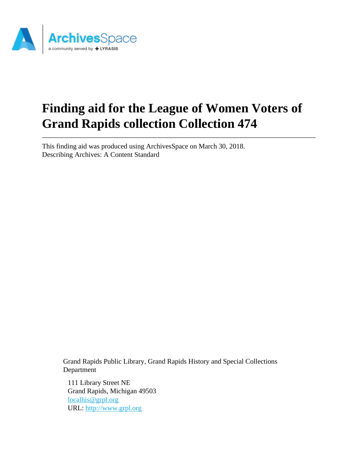

# **Finding aid for the League of Women Voters of Grand Rapids collection Collection 474**

This finding aid was produced using ArchivesSpace on March 30, 2018. Describing Archives: A Content Standard

> Grand Rapids Public Library, Grand Rapids History and Special Collections Department

111 Library Street NE Grand Rapids, Michigan 49503 [localhis@grpl.org](mailto:localhis@grpl.org) URL:<http://www.grpl.org>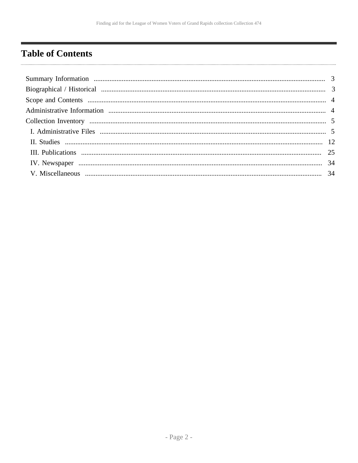# <span id="page-1-0"></span>**Table of Contents**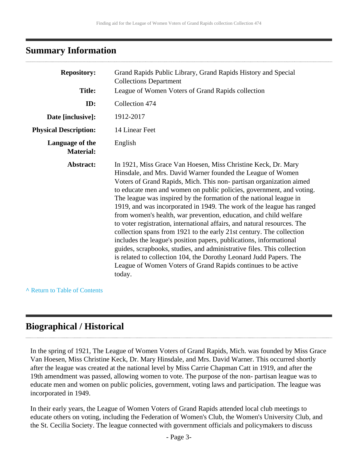# <span id="page-2-0"></span>**Summary Information**

| <b>Repository:</b>                  | Grand Rapids Public Library, Grand Rapids History and Special<br><b>Collections Department</b>                                                                                                                                                                                                                                                                                                                                                                                                                                                                                                                                                                                                                                                                                                                                                                                                                                                      |
|-------------------------------------|-----------------------------------------------------------------------------------------------------------------------------------------------------------------------------------------------------------------------------------------------------------------------------------------------------------------------------------------------------------------------------------------------------------------------------------------------------------------------------------------------------------------------------------------------------------------------------------------------------------------------------------------------------------------------------------------------------------------------------------------------------------------------------------------------------------------------------------------------------------------------------------------------------------------------------------------------------|
| <b>Title:</b>                       | League of Women Voters of Grand Rapids collection                                                                                                                                                                                                                                                                                                                                                                                                                                                                                                                                                                                                                                                                                                                                                                                                                                                                                                   |
| ID:                                 | Collection 474                                                                                                                                                                                                                                                                                                                                                                                                                                                                                                                                                                                                                                                                                                                                                                                                                                                                                                                                      |
| Date [inclusive]:                   | 1912-2017                                                                                                                                                                                                                                                                                                                                                                                                                                                                                                                                                                                                                                                                                                                                                                                                                                                                                                                                           |
| <b>Physical Description:</b>        | 14 Linear Feet                                                                                                                                                                                                                                                                                                                                                                                                                                                                                                                                                                                                                                                                                                                                                                                                                                                                                                                                      |
| Language of the<br><b>Material:</b> | English                                                                                                                                                                                                                                                                                                                                                                                                                                                                                                                                                                                                                                                                                                                                                                                                                                                                                                                                             |
| Abstract:                           | In 1921, Miss Grace Van Hoesen, Miss Christine Keck, Dr. Mary<br>Hinsdale, and Mrs. David Warner founded the League of Women<br>Voters of Grand Rapids, Mich. This non-partisan organization aimed<br>to educate men and women on public policies, government, and voting.<br>The league was inspired by the formation of the national league in<br>1919, and was incorporated in 1949. The work of the league has ranged<br>from women's health, war prevention, education, and child welfare<br>to voter registration, international affairs, and natural resources. The<br>collection spans from 1921 to the early 21st century. The collection<br>includes the league's position papers, publications, informational<br>guides, scrapbooks, studies, and administrative files. This collection<br>is related to collection 104, the Dorothy Leonard Judd Papers. The<br>League of Women Voters of Grand Rapids continues to be active<br>today. |

#### **^** [Return to Table of Contents](#page-1-0)

# <span id="page-2-1"></span>**Biographical / Historical**

In the spring of 1921, The League of Women Voters of Grand Rapids, Mich. was founded by Miss Grace Van Hoesen, Miss Christine Keck, Dr. Mary Hinsdale, and Mrs. David Warner. This occurred shortly after the league was created at the national level by Miss Carrie Chapman Catt in 1919, and after the 19th amendment was passed, allowing women to vote. The purpose of the non- partisan league was to educate men and women on public policies, government, voting laws and participation. The league was incorporated in 1949.

In their early years, the League of Women Voters of Grand Rapids attended local club meetings to educate others on voting, including the Federation of Women's Club, the Women's University Club, and the St. Cecilia Society. The league connected with government officials and policymakers to discuss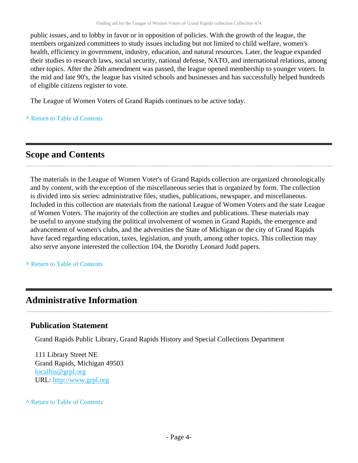public issues, and to lobby in favor or in opposition of policies. With the growth of the league, the members organized committees to study issues including but not limited to child welfare, women's health, efficiency in government, industry, education, and natural resources. Later, the league expanded their studies to research laws, social security, national defense, NATO, and international relations, among other topics. After the 26th amendment was passed, the league opened membership to younger voters. In the mid and late 90's, the league has visited schools and businesses and has successfully helped hundreds of eligible citizens register to vote.

The League of Women Voters of Grand Rapids continues to be active today.

**^** [Return to Table of Contents](#page-1-0)

# <span id="page-3-0"></span>**Scope and Contents**

The materials in the League of Women Voter's of Grand Rapids collection are organized chronologically and by content, with the exception of the miscellaneous series that is organized by form. The collection is divided into six series: administrative files, studies, publications, newspaper, and miscellaneous. Included in this collection are materials from the national League of Women Voters and the state League of Women Voters. The majority of the collection are studies and publications. These materials may be useful to anyone studying the political involvement of women in Grand Rapids, the emergence and advancement of women's clubs, and the adversities the State of Michigan or the city of Grand Rapids have faced regarding education, taxes, legislation, and youth, among other topics. This collection may also serve anyone interested the collection 104, the Dorothy Leonard Judd papers.

**^** [Return to Table of Contents](#page-1-0)

# <span id="page-3-1"></span>**Administrative Information**

## **Publication Statement**

Grand Rapids Public Library, Grand Rapids History and Special Collections Department

111 Library Street NE Grand Rapids, Michigan 49503 [localhis@grpl.org](mailto:localhis@grpl.org) URL:<http://www.grpl.org>

**^** [Return to Table of Contents](#page-1-0)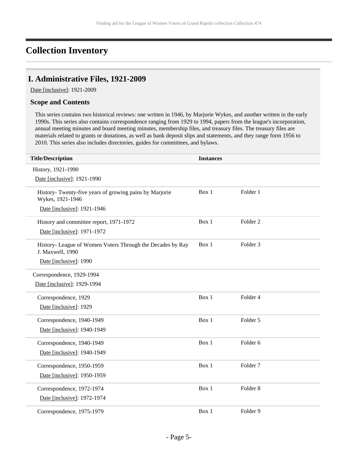# <span id="page-4-0"></span>**Collection Inventory**

## <span id="page-4-1"></span>**I. Administrative Files, 1921-2009**

Date [inclusive]: 1921-2009

#### **Scope and Contents**

This series contains two historical reviews: one written in 1946, by Marjorie Wykes, and another written in the early 1990s. This series also contains correspondence ranging from 1929 to 1994, papers from the league's incorporation, annual meeting minutes and board meeting minutes, membership files, and treasury files. The treasury files are materials related to grants or donations, as well as bank deposit slips and statements, and they range form 1956 to 2010. This series also includes directories, guides for committees, and bylaws.

| <b>Title/Description</b>                                                       | <b>Instances</b> |                     |
|--------------------------------------------------------------------------------|------------------|---------------------|
| History, 1921-1990                                                             |                  |                     |
| Date [inclusive]: 1921-1990                                                    |                  |                     |
| History- Twenty-five years of growing pains by Marjorie<br>Wykes, 1921-1946    | Box 1            | Folder 1            |
| Date [inclusive]: 1921-1946                                                    |                  |                     |
| History and committee report, 1971-1972                                        | Box 1            | Folder <sub>2</sub> |
| Date [inclusive]: 1971-1972                                                    |                  |                     |
| History- League of Women Voters Through the Decades by Ray<br>J. Maxwell, 1990 | Box 1            | Folder <sub>3</sub> |
| Date [inclusive]: 1990                                                         |                  |                     |
| Correspondence, 1929-1994                                                      |                  |                     |
| Date [inclusive]: 1929-1994                                                    |                  |                     |
| Correspondence, 1929                                                           | Box 1            | Folder 4            |
| Date [inclusive]: 1929                                                         |                  |                     |
| Correspondence, 1940-1949                                                      | Box 1            | Folder 5            |
| Date [inclusive]: 1940-1949                                                    |                  |                     |
| Correspondence, 1940-1949                                                      | Box 1            | Folder 6            |
| Date [inclusive]: 1940-1949                                                    |                  |                     |
| Correspondence, 1950-1959                                                      | Box 1            | Folder <sub>7</sub> |
| Date [inclusive]: 1950-1959                                                    |                  |                     |
| Correspondence, 1972-1974                                                      | Box 1            | Folder <sub>8</sub> |
| Date [inclusive]: 1972-1974                                                    |                  |                     |
| Correspondence, 1975-1979                                                      | Box 1            | Folder 9            |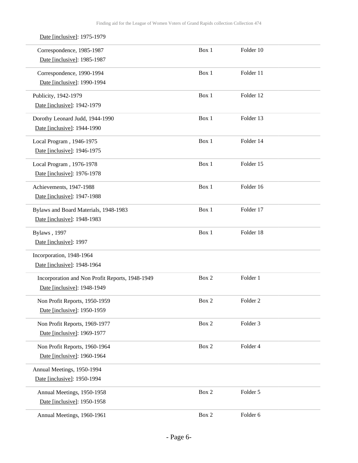| Date [inclusive]: 1975-1979                     |       |                     |  |
|-------------------------------------------------|-------|---------------------|--|
| Correspondence, 1985-1987                       | Box 1 | Folder 10           |  |
| Date [inclusive]: 1985-1987                     |       |                     |  |
| Correspondence, 1990-1994                       | Box 1 | Folder 11           |  |
| Date [inclusive]: 1990-1994                     |       |                     |  |
| Publicity, 1942-1979                            | Box 1 | Folder 12           |  |
| Date [inclusive]: 1942-1979                     |       |                     |  |
| Dorothy Leonard Judd, 1944-1990                 | Box 1 | Folder 13           |  |
| Date [inclusive]: 1944-1990                     |       |                     |  |
| Local Program, 1946-1975                        | Box 1 | Folder 14           |  |
| Date [inclusive]: 1946-1975                     |       |                     |  |
| Local Program, 1976-1978                        | Box 1 | Folder 15           |  |
| Date [inclusive]: 1976-1978                     |       |                     |  |
| Achievements, 1947-1988                         | Box 1 | Folder 16           |  |
| Date [inclusive]: 1947-1988                     |       |                     |  |
| Bylaws and Board Materials, 1948-1983           | Box 1 | Folder 17           |  |
| Date [inclusive]: 1948-1983                     |       |                     |  |
| Bylaws, 1997                                    | Box 1 | Folder 18           |  |
| Date [inclusive]: 1997                          |       |                     |  |
| Incorporation, 1948-1964                        |       |                     |  |
| Date [inclusive]: 1948-1964                     |       |                     |  |
| Incorporation and Non Profit Reports, 1948-1949 | Box 2 | Folder 1            |  |
| Date [inclusive]: 1948-1949                     |       |                     |  |
| Non Profit Reports, 1950-1959                   | Box 2 | Folder <sub>2</sub> |  |
| Date [inclusive]: 1950-1959                     |       |                     |  |
| Non Profit Reports, 1969-1977                   | Box 2 | Folder 3            |  |
| Date [inclusive]: 1969-1977                     |       |                     |  |
| Non Profit Reports, 1960-1964                   | Box 2 | Folder 4            |  |
| Date [inclusive]: 1960-1964                     |       |                     |  |
| Annual Meetings, 1950-1994                      |       |                     |  |
| Date [inclusive]: 1950-1994                     |       |                     |  |
| Annual Meetings, 1950-1958                      | Box 2 | Folder 5            |  |
| Date [inclusive]: 1950-1958                     |       |                     |  |
| Annual Meetings, 1960-1961                      | Box 2 | Folder 6            |  |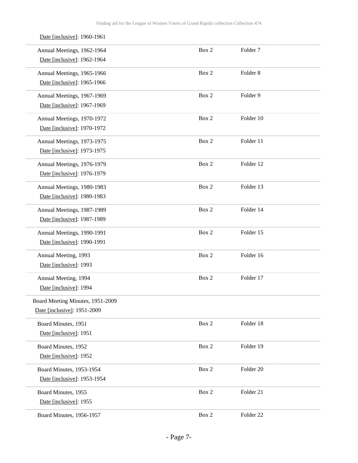| Date [inclusive]: 1960-1961      |       |                      |  |
|----------------------------------|-------|----------------------|--|
| Annual Meetings, 1962-1964       | Box 2 | Folder <sub>7</sub>  |  |
| Date [inclusive]: 1962-1964      |       |                      |  |
| Annual Meetings, 1965-1966       | Box 2 | Folder <sub>8</sub>  |  |
| Date [inclusive]: 1965-1966      |       |                      |  |
| Annual Meetings, 1967-1969       | Box 2 | Folder 9             |  |
| Date [inclusive]: 1967-1969      |       |                      |  |
| Annual Meetings, 1970-1972       | Box 2 | Folder 10            |  |
| Date [inclusive]: 1970-1972      |       |                      |  |
| Annual Meetings, 1973-1975       | Box 2 | Folder 11            |  |
| Date [inclusive]: 1973-1975      |       |                      |  |
| Annual Meetings, 1976-1979       | Box 2 | Folder 12            |  |
| Date [inclusive]: 1976-1979      |       |                      |  |
| Annual Meetings, 1980-1983       | Box 2 | Folder 13            |  |
| Date [inclusive]: 1980-1983      |       |                      |  |
| Annual Meetings, 1987-1989       | Box 2 | Folder 14            |  |
| Date [inclusive]: 1987-1989      |       |                      |  |
| Annual Meetings, 1990-1991       | Box 2 | Folder 15            |  |
| Date [inclusive]: 1990-1991      |       |                      |  |
| Annual Meeting, 1993             | Box 2 | Folder 16            |  |
| Date [inclusive]: 1993           |       |                      |  |
| Annual Meeting, 1994             | Box 2 | Folder 17            |  |
| Date [inclusive]: 1994           |       |                      |  |
| Board Meeting Minutes, 1951-2009 |       |                      |  |
| Date [inclusive]: 1951-2009      |       |                      |  |
| Board Minutes, 1951              | Box 2 | Folder 18            |  |
| Date [inclusive]: 1951           |       |                      |  |
| Board Minutes, 1952              | Box 2 | Folder 19            |  |
| Date [inclusive]: 1952           |       |                      |  |
| Board Minutes, 1953-1954         | Box 2 | Folder <sub>20</sub> |  |
| Date [inclusive]: 1953-1954      |       |                      |  |
| Board Minutes, 1955              | Box 2 | Folder 21            |  |
| Date [inclusive]: 1955           |       |                      |  |
| Board Minutes, 1956-1957         | Box 2 | Folder <sub>22</sub> |  |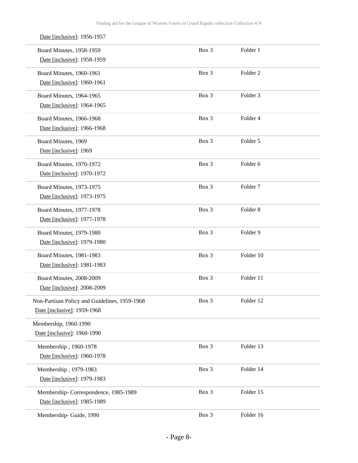| Date [inclusive]: 1956-1957                   |       |                     |  |
|-----------------------------------------------|-------|---------------------|--|
| Board Minutes, 1958-1959                      | Box 3 | Folder 1            |  |
| Date [inclusive]: 1958-1959                   |       |                     |  |
| Board Minutes, 1960-1961                      | Box 3 | Folder <sub>2</sub> |  |
| Date [inclusive]: 1960-1961                   |       |                     |  |
| Board Minutes, 1964-1965                      | Box 3 | Folder <sub>3</sub> |  |
| Date [inclusive]: 1964-1965                   |       |                     |  |
| <b>Board Minutes, 1966-1968</b>               | Box 3 | Folder 4            |  |
| Date [inclusive]: 1966-1968                   |       |                     |  |
| Board Minutes, 1969                           | Box 3 | Folder 5            |  |
| Date [inclusive]: 1969                        |       |                     |  |
| Board Minutes, 1970-1972                      | Box 3 | Folder <sub>6</sub> |  |
| Date [inclusive]: 1970-1972                   |       |                     |  |
| Board Minutes, 1973-1975                      | Box 3 | Folder <sub>7</sub> |  |
| Date [inclusive]: 1973-1975                   |       |                     |  |
| Board Minutes, 1977-1978                      | Box 3 | Folder <sub>8</sub> |  |
| Date [inclusive]: 1977-1978                   |       |                     |  |
| Board Minutes, 1979-1980                      | Box 3 | Folder 9            |  |
| Date [inclusive]: 1979-1980                   |       |                     |  |
| Board Minutes, 1981-1983                      | Box 3 | Folder 10           |  |
| Date [inclusive]: 1981-1983                   |       |                     |  |
| Board Minutes, 2008-2009                      | Box 3 | Folder 11           |  |
| Date [inclusive]: 2008-2009                   |       |                     |  |
| Non-Partisan Policy and Guidelines, 1959-1968 | Box 3 | Folder 12           |  |
| Date [inclusive]: 1959-1968                   |       |                     |  |
| Membership, 1960-1990                         |       |                     |  |
| Date [inclusive]: 1960-1990                   |       |                     |  |
| Membership, 1960-1978                         | Box 3 | Folder 13           |  |
| Date [inclusive]: 1960-1978                   |       |                     |  |
| Membership, 1979-1983                         | Box 3 | Folder 14           |  |
| Date [inclusive]: 1979-1983                   |       |                     |  |
| Membership-Correspondence, 1985-1989          | Box 3 | Folder 15           |  |
| Date [inclusive]: 1985-1989                   |       |                     |  |
| Membership- Guide, 1990                       | Box 3 | Folder 16           |  |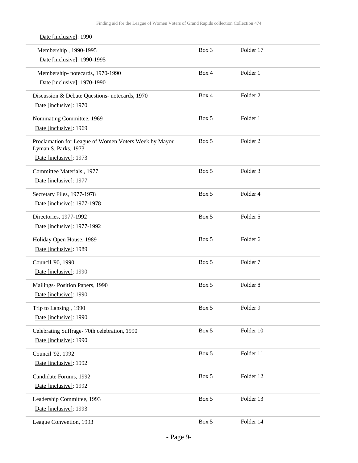| Date [inclusive]: 1990                                                        |       |                     |  |
|-------------------------------------------------------------------------------|-------|---------------------|--|
| Membership, 1990-1995                                                         | Box 3 | Folder 17           |  |
| Date [inclusive]: 1990-1995                                                   |       |                     |  |
| Membership-notecards, 1970-1990                                               | Box 4 | Folder 1            |  |
| Date [inclusive]: 1970-1990                                                   |       |                     |  |
| Discussion & Debate Questions- notecards, 1970                                | Box 4 | Folder <sub>2</sub> |  |
| Date [inclusive]: 1970                                                        |       |                     |  |
| Nominating Committee, 1969                                                    | Box 5 | Folder 1            |  |
| Date [inclusive]: 1969                                                        |       |                     |  |
| Proclamation for League of Women Voters Week by Mayor<br>Lyman S. Parks, 1973 | Box 5 | Folder <sub>2</sub> |  |
| Date [inclusive]: 1973                                                        |       |                     |  |
| Committee Materials, 1977                                                     | Box 5 | Folder <sub>3</sub> |  |
| Date [inclusive]: 1977                                                        |       |                     |  |
| Secretary Files, 1977-1978                                                    | Box 5 | Folder 4            |  |
| Date [inclusive]: 1977-1978                                                   |       |                     |  |
| Directories, 1977-1992                                                        | Box 5 | Folder 5            |  |
| Date [inclusive]: 1977-1992                                                   |       |                     |  |
| Holiday Open House, 1989                                                      | Box 5 | Folder 6            |  |
| Date [inclusive]: 1989                                                        |       |                     |  |
| Council '90, 1990                                                             | Box 5 | Folder <sub>7</sub> |  |
| Date [inclusive]: 1990                                                        |       |                     |  |
| Mailings- Position Papers, 1990                                               | Box 5 | Folder <sub>8</sub> |  |
| Date [inclusive]: 1990                                                        |       |                     |  |
| Trip to Lansing, 1990                                                         | Box 5 | Folder 9            |  |
| Date [inclusive]: 1990                                                        |       |                     |  |
| Celebrating Suffrage-70th celebration, 1990                                   | Box 5 | Folder 10           |  |
| Date [inclusive]: 1990                                                        |       |                     |  |
| Council '92, 1992                                                             | Box 5 | Folder 11           |  |
| Date [inclusive]: 1992                                                        |       |                     |  |
| Candidate Forums, 1992                                                        | Box 5 | Folder 12           |  |
| Date [inclusive]: 1992                                                        |       |                     |  |
| Leadership Committee, 1993                                                    | Box 5 | Folder 13           |  |
| Date [inclusive]: 1993                                                        |       |                     |  |
| League Convention, 1993                                                       | Box 5 | Folder 14           |  |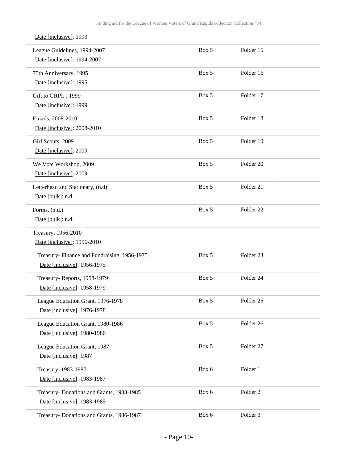| League Guidelines, 1994-2007<br>Date [inclusive]: 1994-2007 | Box 5 | Folder 15            |  |
|-------------------------------------------------------------|-------|----------------------|--|
| 75th Anniversary, 1995                                      | Box 5 | Folder 16            |  |
| Date [inclusive]: 1995                                      |       |                      |  |
| Gift to GRPL, 1999                                          | Box 5 | Folder 17            |  |
| Date [inclusive]: 1999                                      |       |                      |  |
| Emails, 2008-2010                                           | Box 5 | Folder 18            |  |
| Date [inclusive]: 2008-2010                                 |       |                      |  |
| Girl Scouts, 2009                                           | Box 5 | Folder 19            |  |
| Date [inclusive]: 2009                                      |       |                      |  |
| We Vote Workshop, 2009                                      | Box 5 | Folder 20            |  |
| Date [inclusive]: 2009                                      |       |                      |  |
| Letterhead and Stationary, (n.d)                            | Box 5 | Folder 21            |  |
| Date [bulk]: n.d                                            |       |                      |  |
| Forms, (n.d.)                                               | Box 5 | Folder <sub>22</sub> |  |
| Date [bulk]: n.d.                                           |       |                      |  |
| Treasury, 1956-2010                                         |       |                      |  |
| Date [inclusive]: 1956-2010                                 |       |                      |  |
| Treasury- Finance and Fundraising, 1956-1975                | Box 5 | Folder 23            |  |
| Date [inclusive]: 1956-1975                                 |       |                      |  |
| Treasury-Reports, 1958-1979                                 | Box 5 | Folder 24            |  |
| Date [inclusive]: 1958-1979                                 |       |                      |  |
| League Education Grant, 1976-1978                           | Box 5 | Folder <sub>25</sub> |  |
| Date [inclusive]: 1976-1978                                 |       |                      |  |
| League Education Grant, 1980-1986                           | Box 5 | Folder 26            |  |
| Date [inclusive]: 1980-1986                                 |       |                      |  |
| League Education Grant, 1987                                | Box 5 | Folder 27            |  |
| Date [inclusive]: 1987                                      |       |                      |  |
| Treasury, 1983-1987                                         | Box 6 | Folder 1             |  |
| Date [inclusive]: 1983-1987                                 |       |                      |  |
| Treasury- Donations and Grants, 1983-1985                   | Box 6 | Folder <sub>2</sub>  |  |
| Date [inclusive]: 1983-1985                                 |       |                      |  |
| Treasury- Donations and Grants, 1986-1987                   | Box 6 | Folder 3             |  |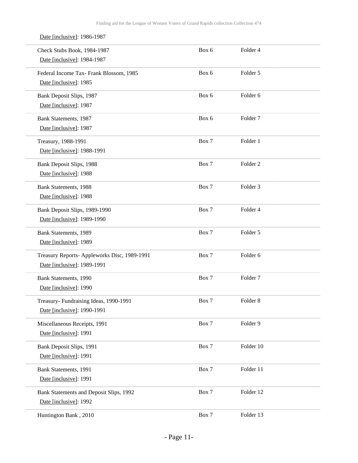| Date [inclusive]: 1986-1987                  |       |                     |  |
|----------------------------------------------|-------|---------------------|--|
| Check Stubs Book, 1984-1987                  | Box 6 | Folder 4            |  |
| Date [inclusive]: 1984-1987                  |       |                     |  |
| Federal Income Tax- Frank Blossom, 1985      | Box 6 | Folder 5            |  |
| Date [inclusive]: 1985                       |       |                     |  |
| Bank Deposit Slips, 1987                     | Box 6 | Folder <sub>6</sub> |  |
| Date [inclusive]: 1987                       |       |                     |  |
| Bank Statements, 1987                        | Box 6 | Folder <sub>7</sub> |  |
| Date [inclusive]: 1987                       |       |                     |  |
| Treasury, 1988-1991                          | Box 7 | Folder 1            |  |
| Date [inclusive]: 1988-1991                  |       |                     |  |
| Bank Deposit Slips, 1988                     | Box 7 | Folder <sub>2</sub> |  |
| Date [inclusive]: 1988                       |       |                     |  |
| <b>Bank Statements</b> , 1988                | Box 7 | Folder <sub>3</sub> |  |
| Date [inclusive]: 1988                       |       |                     |  |
| Bank Deposit Slips, 1989-1990                | Box 7 | Folder 4            |  |
| Date [inclusive]: 1989-1990                  |       |                     |  |
| Bank Statements, 1989                        | Box 7 | Folder 5            |  |
| Date [inclusive]: 1989                       |       |                     |  |
| Treasury Reports- Appleworks Disc, 1989-1991 | Box 7 | Folder <sub>6</sub> |  |
| Date [inclusive]: 1989-1991                  |       |                     |  |
| <b>Bank Statements</b> , 1990                | Box 7 | Folder <sub>7</sub> |  |
| Date [inclusive]: 1990                       |       |                     |  |
| Treasury- Fundraising Ideas, 1990-1991       | Box 7 | Folder 8            |  |
| Date [inclusive]: 1990-1991                  |       |                     |  |
| Miscellaneous Receipts, 1991                 | Box 7 | Folder 9            |  |
| Date [inclusive]: 1991                       |       |                     |  |
| Bank Deposit Slips, 1991                     | Box 7 | Folder 10           |  |
| Date [inclusive]: 1991                       |       |                     |  |
| Bank Statements, 1991                        | Box 7 | Folder 11           |  |
| Date [inclusive]: 1991                       |       |                     |  |
| Bank Statements and Deposit Slips, 1992      | Box 7 | Folder 12           |  |
| Date [inclusive]: 1992                       |       |                     |  |
| Huntington Bank, 2010                        | Box 7 | Folder 13           |  |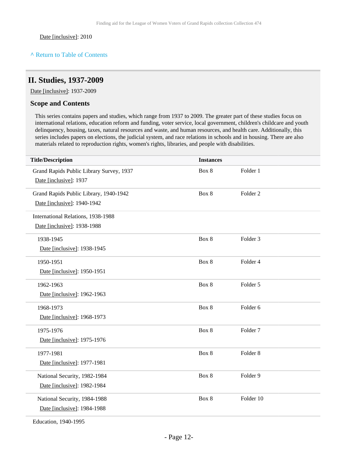#### **^** [Return to Table of Contents](#page-1-0)

## <span id="page-11-0"></span>**II. Studies, 1937-2009**

Date [inclusive]: 1937-2009

#### **Scope and Contents**

This series contains papers and studies, which range from 1937 to 2009. The greater part of these studies focus on international relations, education reform and funding, voter service, local government, children's childcare and youth delinquency, housing, taxes, natural resources and waste, and human resources, and health care. Additionally, this series includes papers on elections, the judicial system, and race relations in schools and in housing. There are also materials related to reproduction rights, women's rights, libraries, and people with disabilities.

| <b>Title/Description</b>                 | <b>Instances</b> |                     |
|------------------------------------------|------------------|---------------------|
| Grand Rapids Public Library Survey, 1937 | Box 8            | Folder 1            |
| Date [inclusive]: 1937                   |                  |                     |
| Grand Rapids Public Library, 1940-1942   | Box 8            | Folder <sub>2</sub> |
| Date [inclusive]: 1940-1942              |                  |                     |
| International Relations, 1938-1988       |                  |                     |
| Date [inclusive]: 1938-1988              |                  |                     |
| 1938-1945                                | Box 8            | Folder 3            |
| Date [inclusive]: 1938-1945              |                  |                     |
| 1950-1951                                | Box 8            | Folder 4            |
| Date [inclusive]: 1950-1951              |                  |                     |
| 1962-1963                                | Box 8            | Folder 5            |
| Date [inclusive]: 1962-1963              |                  |                     |
| 1968-1973                                | Box 8            | Folder 6            |
| Date [inclusive]: 1968-1973              |                  |                     |
| 1975-1976                                | Box 8            | Folder <sub>7</sub> |
| Date [inclusive]: 1975-1976              |                  |                     |
| 1977-1981                                | Box 8            | Folder <sub>8</sub> |
| Date [inclusive]: 1977-1981              |                  |                     |
| National Security, 1982-1984             | Box 8            | Folder 9            |
| Date [inclusive]: 1982-1984              |                  |                     |
| National Security, 1984-1988             | Box 8            | Folder 10           |
| Date [inclusive]: 1984-1988              |                  |                     |
| $F1$ $T$ $10101007$                      |                  |                     |

Education, 1940-1995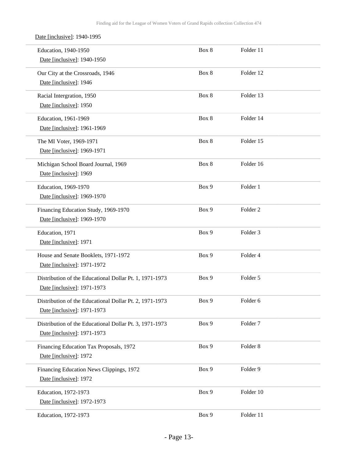Date [inclusive]: 1940-1995

| Education, 1940-1950<br>Date [inclusive]: 1940-1950                                    | Box 8 | Folder 11           |  |
|----------------------------------------------------------------------------------------|-------|---------------------|--|
| Our City at the Crossroads, 1946<br>Date [inclusive]: 1946                             | Box 8 | Folder 12           |  |
| Racial Intergration, 1950<br>Date [inclusive]: 1950                                    | Box 8 | Folder 13           |  |
| Education, 1961-1969<br>Date [inclusive]: 1961-1969                                    | Box 8 | Folder 14           |  |
| The MI Voter, 1969-1971<br>Date [inclusive]: 1969-1971                                 | Box 8 | Folder 15           |  |
| Michigan School Board Journal, 1969<br>Date [inclusive]: 1969                          | Box 8 | Folder 16           |  |
| Education, 1969-1970<br>Date [inclusive]: 1969-1970                                    | Box 9 | Folder 1            |  |
| Financing Education Study, 1969-1970<br>Date [inclusive]: 1969-1970                    | Box 9 | Folder <sub>2</sub> |  |
| Education, 1971<br>Date [inclusive]: 1971                                              | Box 9 | Folder 3            |  |
| House and Senate Booklets, 1971-1972<br>Date [inclusive]: 1971-1972                    | Box 9 | Folder 4            |  |
| Distribution of the Educational Dollar Pt. 1, 1971-1973<br>Date [inclusive]: 1971-1973 | Box 9 | Folder 5            |  |
| Distribution of the Educational Dollar Pt. 2, 1971-1973<br>Date [inclusive]: 1971-1973 | Box 9 | Folder <sub>6</sub> |  |
| Distribution of the Educational Dollar Pt. 3, 1971-1973<br>Date [inclusive]: 1971-1973 | Box 9 | Folder <sub>7</sub> |  |
| Financing Education Tax Proposals, 1972<br>Date [inclusive]: 1972                      | Box 9 | Folder <sub>8</sub> |  |
| Financing Education News Clippings, 1972<br>Date [inclusive]: 1972                     | Box 9 | Folder 9            |  |
| Education, 1972-1973<br>Date [inclusive]: 1972-1973                                    | Box 9 | Folder 10           |  |
| Education, 1972-1973                                                                   | Box 9 | Folder 11           |  |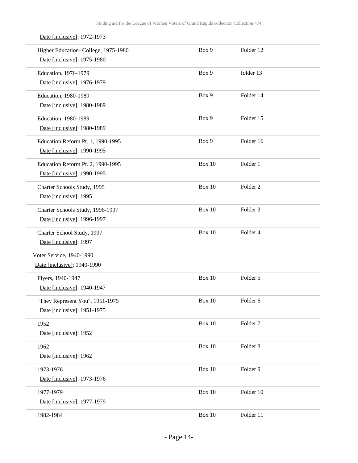## Date [inclusive]: 1972-1973

| Higher Education-College, 1975-1980 | Box 9         | Folder 12           |  |
|-------------------------------------|---------------|---------------------|--|
| Date [inclusive]: 1975-1980         |               |                     |  |
| Education, 1976-1979                | Box 9         | folder 13           |  |
| Date [inclusive]: 1976-1979         |               |                     |  |
| Education, 1980-1989                | Box 9         | Folder 14           |  |
| Date [inclusive]: 1980-1989         |               |                     |  |
| Education, 1980-1989                | Box 9         | Folder 15           |  |
| Date [inclusive]: 1980-1989         |               |                     |  |
| Education Reform Pt. 1, 1990-1995   | Box 9         | Folder 16           |  |
| Date [inclusive]: 1990-1995         |               |                     |  |
| Education Reform Pt. 2, 1990-1995   | <b>Box 10</b> | Folder 1            |  |
| Date [inclusive]: 1990-1995         |               |                     |  |
| Charter Schools Study, 1995         | Box 10        | Folder <sub>2</sub> |  |
| Date [inclusive]: 1995              |               |                     |  |
| Charter Schools Study, 1996-1997    | <b>Box 10</b> | Folder <sub>3</sub> |  |
| Date [inclusive]: 1996-1997         |               |                     |  |
| Charter School Study, 1997          | <b>Box 10</b> | Folder 4            |  |
| Date [inclusive]: 1997              |               |                     |  |
| Voter Service, 1940-1990            |               |                     |  |
| Date [inclusive]: 1940-1990         |               |                     |  |
| Flyers, 1940-1947                   | <b>Box 10</b> | Folder 5            |  |
| Date [inclusive]: 1940-1947         |               |                     |  |
| "They Represent You", 1951-1975     | Box 10        | Folder 6            |  |
| Date [inclusive]: 1951-1975         |               |                     |  |
| 1952                                | Box 10        | Folder <sub>7</sub> |  |
| Date [inclusive]: 1952              |               |                     |  |
| 1962                                | Box 10        | Folder <sub>8</sub> |  |
| Date [inclusive]: 1962              |               |                     |  |
| 1973-1976                           | <b>Box 10</b> | Folder 9            |  |
| Date [inclusive]: 1973-1976         |               |                     |  |
| 1977-1979                           | Box 10        | Folder 10           |  |
| Date [inclusive]: 1977-1979         |               |                     |  |
| 1982-1984                           | <b>Box 10</b> | Folder 11           |  |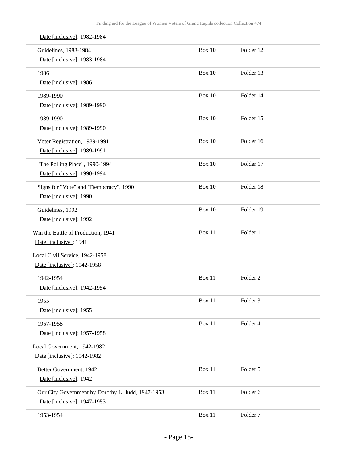| Date [inclusive]: 1982-1984                       |               |                     |  |
|---------------------------------------------------|---------------|---------------------|--|
| Guidelines, 1983-1984                             | <b>Box 10</b> | Folder 12           |  |
| Date [inclusive]: 1983-1984                       |               |                     |  |
| 1986                                              | <b>Box 10</b> | Folder 13           |  |
| Date [inclusive]: 1986                            |               |                     |  |
| 1989-1990                                         | Box 10        | Folder 14           |  |
| Date [inclusive]: 1989-1990                       |               |                     |  |
| 1989-1990                                         | Box $10$      | Folder 15           |  |
| Date [inclusive]: 1989-1990                       |               |                     |  |
| Voter Registration, 1989-1991                     | Box 10        | Folder 16           |  |
| Date [inclusive]: 1989-1991                       |               |                     |  |
| "The Polling Place", 1990-1994                    | Box 10        | Folder 17           |  |
| Date [inclusive]: 1990-1994                       |               |                     |  |
| Signs for "Vote" and "Democracy", 1990            | Box 10        | Folder 18           |  |
| Date [inclusive]: 1990                            |               |                     |  |
| Guidelines, 1992                                  | <b>Box 10</b> | Folder 19           |  |
| Date [inclusive]: 1992                            |               |                     |  |
| Win the Battle of Production, 1941                | Box 11        | Folder 1            |  |
| Date [inclusive]: 1941                            |               |                     |  |
| Local Civil Service, 1942-1958                    |               |                     |  |
| Date [inclusive]: 1942-1958                       |               |                     |  |
| 1942-1954                                         | Box 11        | Folder <sub>2</sub> |  |
| Date [inclusive]: 1942-1954                       |               |                     |  |
| 1955                                              | Box 11        | Folder 3            |  |
| Date [inclusive]: 1955                            |               |                     |  |
| 1957-1958                                         | Box 11        | Folder 4            |  |
| Date [inclusive]: 1957-1958                       |               |                     |  |
| Local Government, 1942-1982                       |               |                     |  |
| Date [inclusive]: 1942-1982                       |               |                     |  |
| Better Government, 1942                           | Box 11        | Folder 5            |  |
| Date [inclusive]: 1942                            |               |                     |  |
| Our City Government by Dorothy L. Judd, 1947-1953 | Box 11        | Folder 6            |  |
| Date [inclusive]: 1947-1953                       |               |                     |  |
| 1953-1954                                         | Box 11        | Folder <sub>7</sub> |  |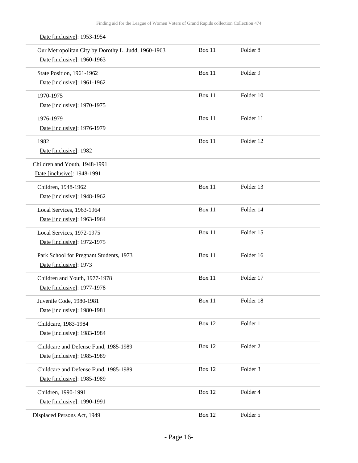Date [inclusive]: 1953-1954

| Our Metropolitan City by Dorothy L. Judd, 1960-1963<br>Date [inclusive]: 1960-1963 | Box 11        | Folder <sub>8</sub> |  |
|------------------------------------------------------------------------------------|---------------|---------------------|--|
| State Position, 1961-1962<br>Date [inclusive]: 1961-1962                           | Box 11        | Folder 9            |  |
| 1970-1975<br>Date [inclusive]: 1970-1975                                           | Box 11        | Folder 10           |  |
| 1976-1979<br>Date [inclusive]: 1976-1979                                           | Box 11        | Folder 11           |  |
| 1982<br>Date [inclusive]: 1982                                                     | Box 11        | Folder 12           |  |
| Children and Youth, 1948-1991<br>Date [inclusive]: 1948-1991                       |               |                     |  |
| Children, 1948-1962<br>Date [inclusive]: 1948-1962                                 | Box 11        | Folder 13           |  |
| Local Services, 1963-1964<br>Date [inclusive]: 1963-1964                           | Box 11        | Folder 14           |  |
| Local Services, 1972-1975<br>Date [inclusive]: 1972-1975                           | Box 11        | Folder 15           |  |
| Park School for Pregnant Students, 1973<br>Date [inclusive]: 1973                  | Box 11        | Folder 16           |  |
| Children and Youth, 1977-1978<br>Date [inclusive]: 1977-1978                       | <b>Box 11</b> | Folder 17           |  |
| Juvenile Code, 1980-1981<br>Date [inclusive]: 1980-1981                            | Box 11        | Folder 18           |  |
| Childcare, 1983-1984<br>Date [inclusive]: 1983-1984                                | <b>Box 12</b> | Folder 1            |  |
| Childcare and Defense Fund, 1985-1989<br>Date [inclusive]: 1985-1989               | <b>Box 12</b> | Folder <sub>2</sub> |  |
| Childcare and Defense Fund, 1985-1989<br>Date [inclusive]: 1985-1989               | Box 12        | Folder 3            |  |
| Children, 1990-1991<br>Date [inclusive]: 1990-1991                                 | Box 12        | Folder 4            |  |
| Displaced Persons Act, 1949                                                        | <b>Box 12</b> | Folder 5            |  |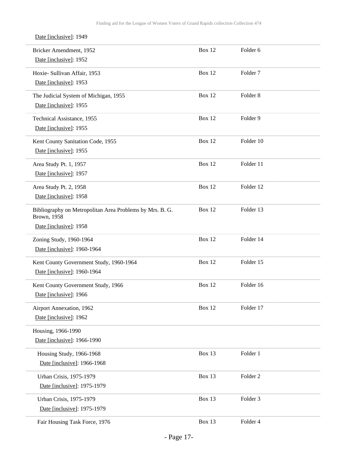| Date [inclusive]: 1949                                                          |               |                     |  |
|---------------------------------------------------------------------------------|---------------|---------------------|--|
| Bricker Amendment, 1952                                                         | Box 12        | Folder 6            |  |
| Date [inclusive]: 1952                                                          |               |                     |  |
| Hoxie- Sullivan Affair, 1953                                                    | Box 12        | Folder <sub>7</sub> |  |
| Date [inclusive]: 1953                                                          |               |                     |  |
| The Judicial System of Michigan, 1955                                           | Box 12        | Folder <sub>8</sub> |  |
| Date [inclusive]: 1955                                                          |               |                     |  |
| Technical Assistance, 1955                                                      | Box 12        | Folder 9            |  |
| Date [inclusive]: 1955                                                          |               |                     |  |
| Kent County Sanitation Code, 1955                                               | Box 12        | Folder 10           |  |
| Date [inclusive]: 1955                                                          |               |                     |  |
|                                                                                 |               |                     |  |
| Area Study Pt. 1, 1957<br>Date [inclusive]: 1957                                | Box 12        | Folder 11           |  |
|                                                                                 |               |                     |  |
| Area Study Pt. 2, 1958                                                          | Box 12        | Folder 12           |  |
| Date [inclusive]: 1958                                                          |               |                     |  |
| Bibliography on Metropolitan Area Problems by Mrs. B. G.<br><b>Brown</b> , 1958 | Box 12        | Folder 13           |  |
| Date [inclusive]: 1958                                                          |               |                     |  |
|                                                                                 |               |                     |  |
| Zoning Study, 1960-1964                                                         | Box 12        | Folder 14           |  |
| Date [inclusive]: 1960-1964                                                     |               |                     |  |
| Kent County Government Study, 1960-1964                                         | Box 12        | Folder 15           |  |
| Date [inclusive]: 1960-1964                                                     |               |                     |  |
| Kent County Government Study, 1966                                              | <b>Box 12</b> | Folder 16           |  |
| Date [inclusive]: 1966                                                          |               |                     |  |
| Airport Annexation, 1962                                                        | Box 12        | Folder 17           |  |
| Date [inclusive]: 1962                                                          |               |                     |  |
| Housing, 1966-1990                                                              |               |                     |  |
| Date [inclusive]: 1966-1990                                                     |               |                     |  |
| Housing Study, 1966-1968                                                        | Box 13        | Folder 1            |  |
| Date [inclusive]: 1966-1968                                                     |               |                     |  |
| Urban Crisis, 1975-1979                                                         | Box 13        | Folder <sub>2</sub> |  |
| Date [inclusive]: 1975-1979                                                     |               |                     |  |
|                                                                                 |               |                     |  |
| Urban Crisis, 1975-1979<br>Date [inclusive]: 1975-1979                          | Box 13        | Folder 3            |  |
|                                                                                 |               |                     |  |
| Fair Housing Task Force, 1976                                                   | Box 13        | Folder 4            |  |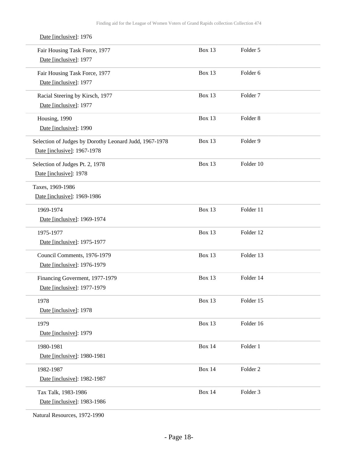| Date [inclusive]: 1976                                 |               |                     |  |
|--------------------------------------------------------|---------------|---------------------|--|
| Fair Housing Task Force, 1977                          | Box 13        | Folder 5            |  |
| Date [inclusive]: 1977                                 |               |                     |  |
| Fair Housing Task Force, 1977                          | Box 13        | Folder 6            |  |
| Date [inclusive]: 1977                                 |               |                     |  |
| Racial Steering by Kirsch, 1977                        | Box 13        | Folder <sub>7</sub> |  |
| Date [inclusive]: 1977                                 |               |                     |  |
| Housing, 1990                                          | Box 13        | Folder <sub>8</sub> |  |
| Date [inclusive]: 1990                                 |               |                     |  |
| Selection of Judges by Dorothy Leonard Judd, 1967-1978 | Box 13        | Folder 9            |  |
| Date [inclusive]: 1967-1978                            |               |                     |  |
| Selection of Judges Pt. 2, 1978                        | Box 13        | Folder 10           |  |
| Date [inclusive]: 1978                                 |               |                     |  |
| Taxes, 1969-1986                                       |               |                     |  |
| Date [inclusive]: 1969-1986                            |               |                     |  |
| 1969-1974                                              | Box 13        | Folder 11           |  |
| Date [inclusive]: 1969-1974                            |               |                     |  |
| 1975-1977                                              | <b>Box 13</b> | Folder 12           |  |
| Date [inclusive]: 1975-1977                            |               |                     |  |
| Council Comments, 1976-1979                            | <b>Box 13</b> | Folder 13           |  |
| Date [inclusive]: 1976-1979                            |               |                     |  |
| Financing Goverment, 1977-1979                         | Box 13        | Folder 14           |  |
| Date [inclusive]: 1977-1979                            |               |                     |  |
| 1978                                                   | Box 13        | Folder 15           |  |
| Date [inclusive]: 1978                                 |               |                     |  |
| 1979                                                   | <b>Box 13</b> | Folder 16           |  |
| Date [inclusive]: 1979                                 |               |                     |  |
| 1980-1981                                              | <b>Box 14</b> | Folder 1            |  |
| Date [inclusive]: 1980-1981                            |               |                     |  |
| 1982-1987                                              | <b>Box 14</b> | Folder <sub>2</sub> |  |
| Date [inclusive]: 1982-1987                            |               |                     |  |
| Tax Talk, 1983-1986                                    | <b>Box 14</b> | Folder 3            |  |
| Date [inclusive]: 1983-1986                            |               |                     |  |
|                                                        |               |                     |  |

Natural Resources, 1972-1990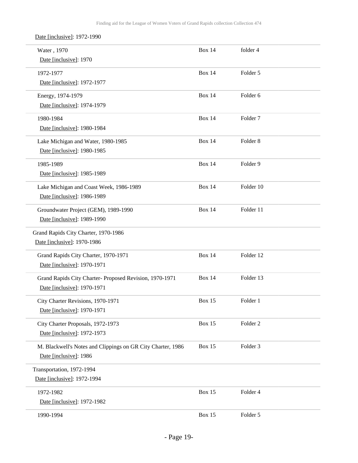Date [inclusive]: 1972-1990

| Water, 1970<br>Date [inclusive]: 1970                                                  | <b>Box 14</b> | folder 4            |
|----------------------------------------------------------------------------------------|---------------|---------------------|
| 1972-1977<br>Date [inclusive]: 1972-1977                                               | <b>Box 14</b> | Folder 5            |
| Energy, 1974-1979<br>Date [inclusive]: 1974-1979                                       | <b>Box 14</b> | Folder 6            |
| 1980-1984<br>Date [inclusive]: 1980-1984                                               | <b>Box 14</b> | Folder <sub>7</sub> |
| Lake Michigan and Water, 1980-1985<br>Date [inclusive]: 1980-1985                      | <b>Box 14</b> | Folder <sub>8</sub> |
| 1985-1989<br>Date [inclusive]: 1985-1989                                               | <b>Box 14</b> | Folder 9            |
| Lake Michigan and Coast Week, 1986-1989<br>Date [inclusive]: 1986-1989                 | <b>Box 14</b> | Folder 10           |
| Groundwater Project (GEM), 1989-1990<br>Date [inclusive]: 1989-1990                    | <b>Box 14</b> | Folder 11           |
| Grand Rapids City Charter, 1970-1986<br>Date [inclusive]: 1970-1986                    |               |                     |
| Grand Rapids City Charter, 1970-1971<br>Date [inclusive]: 1970-1971                    | <b>Box 14</b> | Folder 12           |
| Grand Rapids City Charter- Proposed Revision, 1970-1971<br>Date [inclusive]: 1970-1971 | <b>Box 14</b> | Folder 13           |
| City Charter Revisions, 1970-1971<br>Date [inclusive]: 1970-1971                       | <b>Box 15</b> | Folder 1            |
| City Charter Proposals, 1972-1973<br>Date [inclusive]: 1972-1973                       | <b>Box 15</b> | Folder <sub>2</sub> |
| M. Blackwell's Notes and Clippings on GR City Charter, 1986<br>Date [inclusive]: 1986  | <b>Box 15</b> | Folder 3            |
| Transportation, 1972-1994<br>Date [inclusive]: 1972-1994                               |               |                     |
| 1972-1982<br>Date [inclusive]: 1972-1982                                               | <b>Box 15</b> | Folder 4            |
| 1990-1994                                                                              | <b>Box 15</b> | Folder 5            |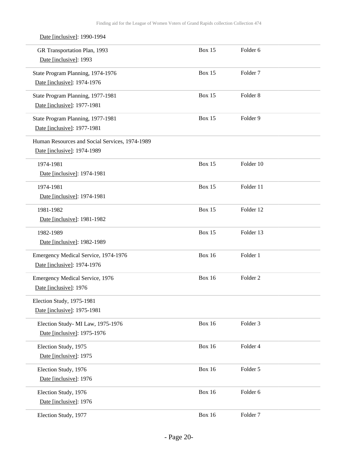| Date [inclusive]: 1990-1994                                                   |               |                     |
|-------------------------------------------------------------------------------|---------------|---------------------|
| GR Transportation Plan, 1993<br>Date [inclusive]: 1993                        | <b>Box 15</b> | Folder <sub>6</sub> |
| State Program Planning, 1974-1976<br>Date [inclusive]: 1974-1976              | <b>Box 15</b> | Folder <sub>7</sub> |
| State Program Planning, 1977-1981<br>Date [inclusive]: 1977-1981              | <b>Box 15</b> | Folder <sub>8</sub> |
| State Program Planning, 1977-1981<br>Date [inclusive]: 1977-1981              | <b>Box 15</b> | Folder 9            |
| Human Resources and Social Services, 1974-1989<br>Date [inclusive]: 1974-1989 |               |                     |
| 1974-1981<br>Date [inclusive]: 1974-1981                                      | <b>Box 15</b> | Folder 10           |
| 1974-1981<br>Date [inclusive]: 1974-1981                                      | <b>Box 15</b> | Folder 11           |
| 1981-1982<br>Date [inclusive]: 1981-1982                                      | <b>Box 15</b> | Folder 12           |
| 1982-1989<br>Date [inclusive]: 1982-1989                                      | <b>Box 15</b> | Folder 13           |
| Emergency Medical Service, 1974-1976<br>Date [inclusive]: 1974-1976           | <b>Box 16</b> | Folder 1            |
| Emergency Medical Service, 1976<br>Date [inclusive]: 1976                     | <b>Box 16</b> | Folder <sub>2</sub> |
| Election Study, 1975-1981<br>Date [inclusive]: 1975-1981                      |               |                     |
| Election Study-MI Law, 1975-1976<br>Date [inclusive]: 1975-1976               | <b>Box 16</b> | Folder 3            |
| Election Study, 1975<br>Date [inclusive]: 1975                                | <b>Box 16</b> | Folder 4            |
| Election Study, 1976<br>Date [inclusive]: 1976                                | <b>Box 16</b> | Folder 5            |
| Election Study, 1976<br>Date [inclusive]: 1976                                | <b>Box 16</b> | Folder 6            |
| Election Study, 1977                                                          | <b>Box 16</b> | Folder <sub>7</sub> |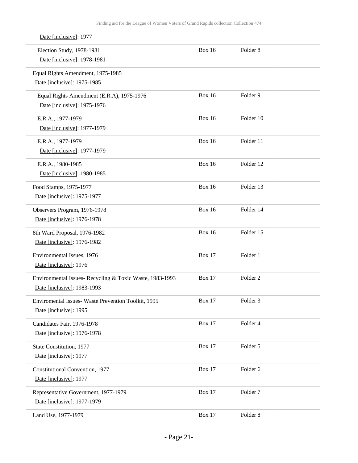| Date [inclusive]: 1977                                                                  |               |                     |  |
|-----------------------------------------------------------------------------------------|---------------|---------------------|--|
| Election Study, 1978-1981<br>Date [inclusive]: 1978-1981                                | <b>Box 16</b> | Folder <sub>8</sub> |  |
| Equal Rights Amendment, 1975-1985<br>Date [inclusive]: 1975-1985                        |               |                     |  |
| Equal Rights Amendment (E.R.A), 1975-1976<br>Date [inclusive]: 1975-1976                | <b>Box 16</b> | Folder 9            |  |
| E.R.A., 1977-1979<br>Date [inclusive]: 1977-1979                                        | <b>Box 16</b> | Folder 10           |  |
| E.R.A., 1977-1979<br>Date [inclusive]: 1977-1979                                        | <b>Box 16</b> | Folder 11           |  |
| E.R.A., 1980-1985<br>Date [inclusive]: 1980-1985                                        | <b>Box 16</b> | Folder 12           |  |
| Food Stamps, 1975-1977<br>Date [inclusive]: 1975-1977                                   | <b>Box 16</b> | Folder 13           |  |
| Observers Program, 1976-1978<br>Date [inclusive]: 1976-1978                             | <b>Box 16</b> | Folder 14           |  |
| 8th Ward Proposal, 1976-1982<br>Date [inclusive]: 1976-1982                             | <b>Box 16</b> | Folder 15           |  |
| Environmental Issues, 1976<br>Date [inclusive]: 1976                                    | <b>Box 17</b> | Folder 1            |  |
| Environmental Issues- Recycling & Toxic Waste, 1983-1993<br>Date [inclusive]: 1983-1993 | <b>Box 17</b> | Folder <sub>2</sub> |  |
| Enviromental Issues- Waste Prevention Toolkit, 1995<br>Date [inclusive]: 1995           | <b>Box 17</b> | Folder 3            |  |
| Candidates Fair, 1976-1978<br>Date [inclusive]: 1976-1978                               | <b>Box 17</b> | Folder 4            |  |
| State Constitution, 1977<br>Date [inclusive]: 1977                                      | <b>Box 17</b> | Folder 5            |  |
| Constitutional Convention, 1977<br>Date [inclusive]: 1977                               | <b>Box 17</b> | Folder 6            |  |
| Representative Government, 1977-1979<br>Date [inclusive]: 1977-1979                     | Box 17        | Folder <sub>7</sub> |  |
| Land Use, 1977-1979                                                                     | <b>Box 17</b> | Folder 8            |  |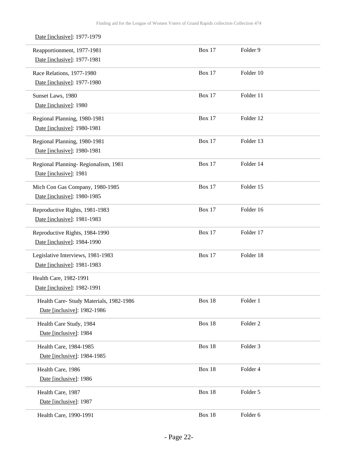| Date [inclusive]: 1977-1979             |               |                     |  |
|-----------------------------------------|---------------|---------------------|--|
| Reapportionment, 1977-1981              | <b>Box 17</b> | Folder 9            |  |
| Date [inclusive]: 1977-1981             |               |                     |  |
| Race Relations, 1977-1980               | <b>Box 17</b> | Folder 10           |  |
| Date [inclusive]: 1977-1980             |               |                     |  |
| Sunset Laws, 1980                       | <b>Box 17</b> | Folder 11           |  |
| Date [inclusive]: 1980                  |               |                     |  |
| Regional Planning, 1980-1981            | <b>Box 17</b> | Folder 12           |  |
| Date [inclusive]: 1980-1981             |               |                     |  |
| Regional Planning, 1980-1981            | <b>Box 17</b> | Folder 13           |  |
| Date [inclusive]: 1980-1981             |               |                     |  |
| Regional Planning-Regionalism, 1981     | <b>Box 17</b> | Folder 14           |  |
| Date [inclusive]: 1981                  |               |                     |  |
| Mich Con Gas Company, 1980-1985         | <b>Box 17</b> | Folder 15           |  |
| Date [inclusive]: 1980-1985             |               |                     |  |
| Reproductive Rights, 1981-1983          | <b>Box 17</b> | Folder 16           |  |
| Date [inclusive]: 1981-1983             |               |                     |  |
| Reproductive Rights, 1984-1990          | <b>Box 17</b> | Folder 17           |  |
| Date [inclusive]: 1984-1990             |               |                     |  |
| Legislative Interviews, 1981-1983       | <b>Box 17</b> | Folder 18           |  |
| Date [inclusive]: 1981-1983             |               |                     |  |
| Health Care, 1982-1991                  |               |                     |  |
| Date [inclusive]: 1982-1991             |               |                     |  |
| Health Care- Study Materials, 1982-1986 | Box 18        | Folder 1            |  |
| Date [inclusive]: 1982-1986             |               |                     |  |
| Health Care Study, 1984                 | <b>Box 18</b> | Folder <sub>2</sub> |  |
| Date [inclusive]: 1984                  |               |                     |  |
| Health Care, 1984-1985                  | <b>Box 18</b> | Folder 3            |  |
| Date [inclusive]: 1984-1985             |               |                     |  |
| Health Care, 1986                       | Box 18        | Folder 4            |  |
| Date [inclusive]: 1986                  |               |                     |  |
| Health Care, 1987                       | <b>Box 18</b> | Folder 5            |  |
| Date [inclusive]: 1987                  |               |                     |  |
| Health Care, 1990-1991                  | <b>Box 18</b> | Folder 6            |  |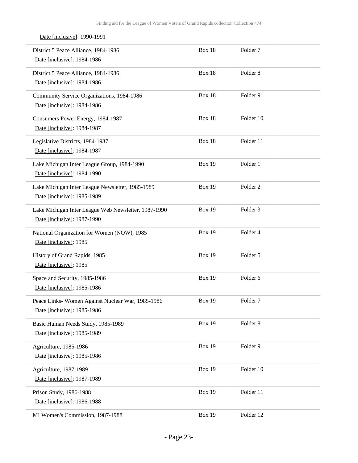| Date [inclusive]: 1990-1991                                                         |               |                     |  |
|-------------------------------------------------------------------------------------|---------------|---------------------|--|
| District 5 Peace Alliance, 1984-1986<br>Date [inclusive]: 1984-1986                 | <b>Box 18</b> | Folder <sub>7</sub> |  |
| District 5 Peace Alliance, 1984-1986<br>Date [inclusive]: 1984-1986                 | Box 18        | Folder <sub>8</sub> |  |
| Community Service Organizations, 1984-1986<br>Date [inclusive]: 1984-1986           | <b>Box 18</b> | Folder 9            |  |
| Consumers Power Energy, 1984-1987<br>Date [inclusive]: 1984-1987                    | Box 18        | Folder 10           |  |
| Legislative Districts, 1984-1987<br>Date [inclusive]: 1984-1987                     | Box 18        | Folder 11           |  |
| Lake Michigan Inter League Group, 1984-1990<br>Date [inclusive]: 1984-1990          | <b>Box 19</b> | Folder 1            |  |
| Lake Michigan Inter League Newsletter, 1985-1989<br>Date [inclusive]: 1985-1989     | <b>Box 19</b> | Folder <sub>2</sub> |  |
| Lake Michigan Inter League Web Newsletter, 1987-1990<br>Date [inclusive]: 1987-1990 | <b>Box 19</b> | Folder <sub>3</sub> |  |
| National Organization for Women (NOW), 1985<br>Date [inclusive]: 1985               | <b>Box 19</b> | Folder 4            |  |
| History of Grand Rapids, 1985<br>Date [inclusive]: 1985                             | <b>Box 19</b> | Folder 5            |  |
| Space and Security, 1985-1986<br>Date [inclusive]: 1985-1986                        | <b>Box 19</b> | Folder <sub>6</sub> |  |
| Peace Links- Women Against Nuclear War, 1985-1986<br>Date [inclusive]: 1985-1986    | <b>Box 19</b> | Folder <sub>7</sub> |  |
| Basic Human Needs Study, 1985-1989<br>Date [inclusive]: 1985-1989                   | <b>Box 19</b> | Folder <sub>8</sub> |  |
| Agriculture, 1985-1986<br>Date [inclusive]: 1985-1986                               | <b>Box 19</b> | Folder 9            |  |
| Agriculture, 1987-1989<br>Date [inclusive]: 1987-1989                               | <b>Box 19</b> | Folder 10           |  |
| Prison Study, 1986-1988<br>Date [inclusive]: 1986-1988                              | <b>Box 19</b> | Folder 11           |  |
| MI Women's Commission, 1987-1988                                                    | <b>Box 19</b> | Folder 12           |  |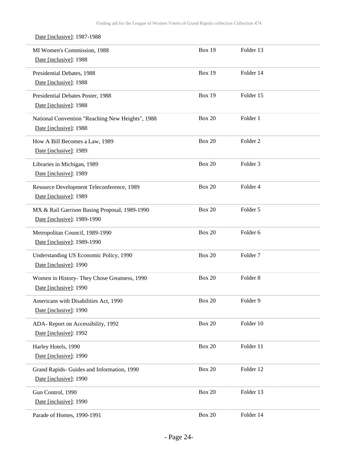| Date [inclusive]: 1987-1988                                                  |               |                     |  |
|------------------------------------------------------------------------------|---------------|---------------------|--|
| MI Women's Commission, 1988<br>Date [inclusive]: 1988                        | <b>Box 19</b> | Folder 13           |  |
| Presidential Debates, 1988<br>Date [inclusive]: 1988                         | <b>Box 19</b> | Folder 14           |  |
| Presidential Debates Poster, 1988<br>Date [inclusive]: 1988                  | <b>Box 19</b> | Folder 15           |  |
| National Convention "Reaching New Heights", 1988<br>Date [inclusive]: 1988   | <b>Box 20</b> | Folder 1            |  |
| How A Bill Becomes a Law, 1989<br>Date [inclusive]: 1989                     | <b>Box 20</b> | Folder <sub>2</sub> |  |
| Libraries in Michigan, 1989<br>Date [inclusive]: 1989                        | <b>Box 20</b> | Folder <sub>3</sub> |  |
| Resource Development Teleconference, 1989<br>Date [inclusive]: 1989          | <b>Box 20</b> | Folder 4            |  |
| MX & Rail Garrison Basing Proposal, 1989-1990<br>Date [inclusive]: 1989-1990 | <b>Box 20</b> | Folder 5            |  |
| Metropolitan Council, 1989-1990<br>Date [inclusive]: 1989-1990               | <b>Box 20</b> | Folder <sub>6</sub> |  |
| Understanding US Economic Policy, 1990<br>Date [inclusive]: 1990             | <b>Box 20</b> | Folder <sub>7</sub> |  |
| Women in History- They Chose Greatness, 1990<br>Date [inclusive]: 1990       | <b>Box 20</b> | Folder <sub>8</sub> |  |
| Americans with Disabilities Act, 1990<br>Date [inclusive]: 1990              | <b>Box 20</b> | Folder 9            |  |
| ADA-Report on Accessibility, 1992<br>Date [inclusive]: 1992                  | <b>Box 20</b> | Folder 10           |  |
| Harley Hotels, 1990<br>Date [inclusive]: 1990                                | <b>Box 20</b> | Folder 11           |  |
| Grand Rapids- Guides and Information, 1990<br>Date [inclusive]: 1990         | <b>Box 20</b> | Folder 12           |  |
| Gun Control, 1990<br>Date [inclusive]: 1990                                  | <b>Box 20</b> | Folder 13           |  |
| Parade of Homes, 1990-1991                                                   | <b>Box 20</b> | Folder 14           |  |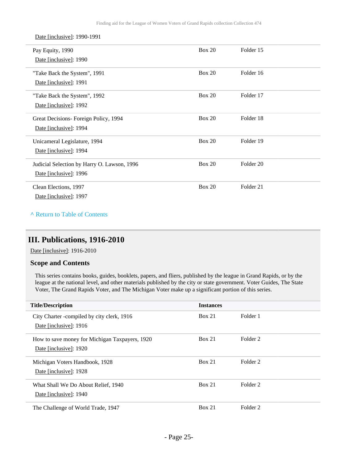Date [inclusive]: 1990-1991

| Pay Equity, 1990<br>Date [inclusive]: 1990                            | Box 20        | Folder 15            |
|-----------------------------------------------------------------------|---------------|----------------------|
| "Take Back the System", 1991<br>Date [inclusive]: 1991                | Box 20        | Folder 16            |
| "Take Back the System", 1992<br>Date [inclusive]: 1992                | Box 20        | Folder 17            |
| Great Decisions- Foreign Policy, 1994<br>Date [inclusive]: 1994       | Box 20        | Folder 18            |
| Unicameral Legislature, 1994<br>Date [inclusive]: 1994                | <b>Box 20</b> | Folder 19            |
| Judicial Selection by Harry O. Lawson, 1996<br>Date [inclusive]: 1996 | <b>Box 20</b> | Folder <sub>20</sub> |
| Clean Elections, 1997<br>Date [inclusive]: 1997                       | <b>Box 20</b> | Folder <sub>21</sub> |

#### **^** [Return to Table of Contents](#page-1-0)

## <span id="page-24-0"></span>**III. Publications, 1916-2010**

Date [inclusive]: 1916-2010

#### **Scope and Contents**

This series contains books, guides, booklets, papers, and fliers, published by the league in Grand Rapids, or by the league at the national level, and other materials published by the city or state government. Voter Guides, The State Voter, The Grand Rapids Voter, and The Michigan Voter make up a significant portion of this series.

| <b>Title/Description</b>                       | <b>Instances</b> |                     |
|------------------------------------------------|------------------|---------------------|
| City Charter - compiled by city clerk, 1916    | Box 21           | Folder 1            |
| Date [inclusive]: 1916                         |                  |                     |
| How to save money for Michigan Taxpayers, 1920 | Box 21           | Folder 2            |
| Date [inclusive]: 1920                         |                  |                     |
| Michigan Voters Handbook, 1928                 | Box 21           | Folder 2            |
| Date [inclusive]: 1928                         |                  |                     |
| What Shall We Do About Relief, 1940            | Box 21           | Folder <sub>2</sub> |
| Date [inclusive]: 1940                         |                  |                     |
| The Challenge of World Trade, 1947             | Box 21           | Folder 2            |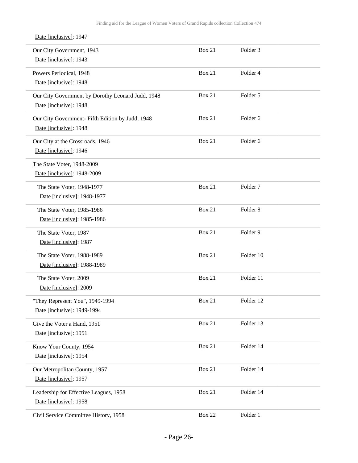| Date [inclusive]: 1947                                                      |               |                     |  |
|-----------------------------------------------------------------------------|---------------|---------------------|--|
| Our City Government, 1943<br>Date [inclusive]: 1943                         | <b>Box 21</b> | Folder 3            |  |
| Powers Periodical, 1948<br>Date [inclusive]: 1948                           | <b>Box 21</b> | Folder 4            |  |
| Our City Government by Dorothy Leonard Judd, 1948<br>Date [inclusive]: 1948 | <b>Box 21</b> | Folder 5            |  |
| Our City Government- Fifth Edition by Judd, 1948<br>Date [inclusive]: 1948  | <b>Box 21</b> | Folder 6            |  |
| Our City at the Crossroads, 1946<br>Date [inclusive]: 1946                  | <b>Box 21</b> | Folder <sub>6</sub> |  |
| The State Voter, 1948-2009<br>Date [inclusive]: 1948-2009                   |               |                     |  |
| The State Voter, 1948-1977<br>Date [inclusive]: 1948-1977                   | <b>Box 21</b> | Folder <sub>7</sub> |  |
| The State Voter, 1985-1986<br>Date [inclusive]: 1985-1986                   | <b>Box 21</b> | Folder <sub>8</sub> |  |
| The State Voter, 1987<br>Date [inclusive]: 1987                             | Box 21        | Folder 9            |  |
| The State Voter, 1988-1989<br>Date [inclusive]: 1988-1989                   | <b>Box 21</b> | Folder 10           |  |
| The State Voter, 2009<br>Date [inclusive]: 2009                             | <b>Box 21</b> | Folder 11           |  |
| "They Represent You", 1949-1994<br>Date [inclusive]: 1949-1994              | <b>Box 21</b> | Folder 12           |  |
| Give the Voter a Hand, 1951<br>Date [inclusive]: 1951                       | <b>Box 21</b> | Folder 13           |  |
| Know Your County, 1954<br>Date [inclusive]: 1954                            | <b>Box 21</b> | Folder 14           |  |
| Our Metropolitan County, 1957<br>Date [inclusive]: 1957                     | Box 21        | Folder 14           |  |
| Leadership for Effective Leagues, 1958<br>Date [inclusive]: 1958            | Box 21        | Folder 14           |  |
| Civil Service Committee History, 1958                                       | <b>Box 22</b> | Folder 1            |  |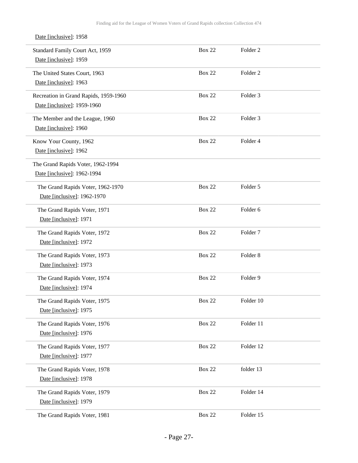| Date [inclusive]: 1958                                               |               |                     |
|----------------------------------------------------------------------|---------------|---------------------|
| Standard Family Court Act, 1959<br>Date [inclusive]: 1959            | <b>Box 22</b> | Folder <sub>2</sub> |
| The United States Court, 1963<br>Date [inclusive]: 1963              | <b>Box 22</b> | Folder <sub>2</sub> |
| Recreation in Grand Rapids, 1959-1960<br>Date [inclusive]: 1959-1960 | <b>Box 22</b> | Folder <sub>3</sub> |
| The Member and the League, 1960<br>Date [inclusive]: 1960            | <b>Box 22</b> | Folder <sub>3</sub> |
| Know Your County, 1962<br>Date [inclusive]: 1962                     | <b>Box 22</b> | Folder 4            |
| The Grand Rapids Voter, 1962-1994<br>Date [inclusive]: 1962-1994     |               |                     |
| The Grand Rapids Voter, 1962-1970<br>Date [inclusive]: 1962-1970     | <b>Box 22</b> | Folder 5            |
| The Grand Rapids Voter, 1971<br>Date [inclusive]: 1971               | <b>Box 22</b> | Folder 6            |
| The Grand Rapids Voter, 1972<br>Date [inclusive]: 1972               | <b>Box 22</b> | Folder <sub>7</sub> |
| The Grand Rapids Voter, 1973<br>Date [inclusive]: 1973               | <b>Box 22</b> | Folder <sub>8</sub> |
| The Grand Rapids Voter, 1974<br>Date [inclusive]: 1974               | <b>Box 22</b> | Folder 9            |
| The Grand Rapids Voter, 1975<br>Date [inclusive]: 1975               | <b>Box 22</b> | Folder 10           |
| The Grand Rapids Voter, 1976<br>Date [inclusive]: 1976               | <b>Box 22</b> | Folder 11           |
| The Grand Rapids Voter, 1977<br>Date [inclusive]: 1977               | <b>Box 22</b> | Folder 12           |
| The Grand Rapids Voter, 1978<br>Date [inclusive]: 1978               | <b>Box 22</b> | folder 13           |
| The Grand Rapids Voter, 1979<br>Date [inclusive]: 1979               | <b>Box 22</b> | Folder 14           |
| The Grand Rapids Voter, 1981                                         | <b>Box 22</b> | Folder 15           |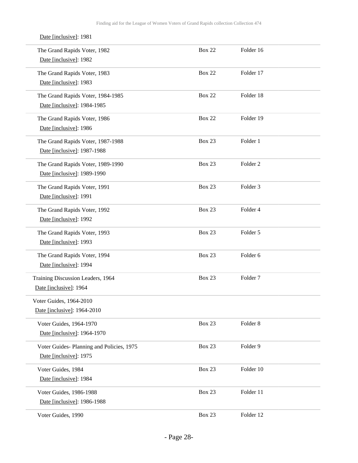| Date [inclusive]: 1981                                              |               |                     |
|---------------------------------------------------------------------|---------------|---------------------|
| The Grand Rapids Voter, 1982<br>Date [inclusive]: 1982              | <b>Box 22</b> | Folder 16           |
| The Grand Rapids Voter, 1983<br>Date [inclusive]: 1983              | <b>Box 22</b> | Folder 17           |
| The Grand Rapids Voter, 1984-1985<br>Date [inclusive]: 1984-1985    | <b>Box 22</b> | Folder 18           |
| The Grand Rapids Voter, 1986<br>Date [inclusive]: 1986              | <b>Box 22</b> | Folder 19           |
| The Grand Rapids Voter, 1987-1988<br>Date [inclusive]: 1987-1988    | <b>Box 23</b> | Folder 1            |
| The Grand Rapids Voter, 1989-1990<br>Date [inclusive]: 1989-1990    | <b>Box 23</b> | Folder <sub>2</sub> |
| The Grand Rapids Voter, 1991<br>Date [inclusive]: 1991              | <b>Box 23</b> | Folder <sub>3</sub> |
| The Grand Rapids Voter, 1992<br>Date [inclusive]: 1992              | <b>Box 23</b> | Folder 4            |
| The Grand Rapids Voter, 1993<br>Date [inclusive]: 1993              | <b>Box 23</b> | Folder 5            |
| The Grand Rapids Voter, 1994<br>Date [inclusive]: 1994              | Box 23        | Folder 6            |
| Training Discussion Leaders, 1964<br>Date [inclusive]: 1964         | <b>Box 23</b> | Folder <sub>7</sub> |
| Voter Guides, 1964-2010<br>Date [inclusive]: 1964-2010              |               |                     |
| Voter Guides, 1964-1970<br>Date [inclusive]: 1964-1970              | Box 23        | Folder <sub>8</sub> |
| Voter Guides- Planning and Policies, 1975<br>Date [inclusive]: 1975 | Box 23        | Folder 9            |
| Voter Guides, 1984<br>Date [inclusive]: 1984                        | Box 23        | Folder 10           |
| Voter Guides, 1986-1988<br>Date [inclusive]: 1986-1988              | Box 23        | Folder 11           |
| Voter Guides, 1990                                                  | Box 23        | Folder 12           |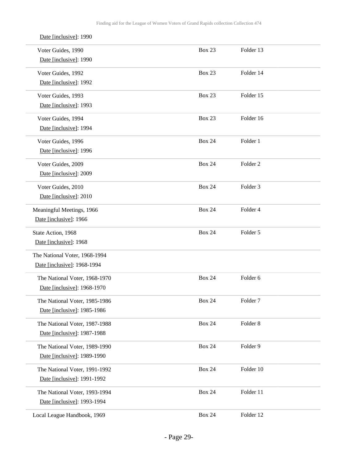| Date [inclusive]: 1990        |               |                     |
|-------------------------------|---------------|---------------------|
| Voter Guides, 1990            | <b>Box 23</b> | Folder 13           |
| Date [inclusive]: 1990        |               |                     |
| Voter Guides, 1992            | <b>Box 23</b> | Folder 14           |
| Date [inclusive]: 1992        |               |                     |
| Voter Guides, 1993            | <b>Box 23</b> | Folder 15           |
| Date [inclusive]: 1993        |               |                     |
| Voter Guides, 1994            | <b>Box 23</b> | Folder 16           |
| Date [inclusive]: 1994        |               |                     |
| Voter Guides, 1996            | <b>Box 24</b> | Folder 1            |
| Date [inclusive]: 1996        |               |                     |
| Voter Guides, 2009            | <b>Box 24</b> | Folder <sub>2</sub> |
| Date [inclusive]: 2009        |               |                     |
| Voter Guides, 2010            | <b>Box 24</b> | Folder 3            |
| Date [inclusive]: 2010        |               |                     |
| Meaningful Meetings, 1966     | <b>Box 24</b> | Folder 4            |
| Date [inclusive]: 1966        |               |                     |
| State Action, 1968            | <b>Box 24</b> | Folder 5            |
| Date [inclusive]: 1968        |               |                     |
| The National Voter, 1968-1994 |               |                     |
| Date [inclusive]: 1968-1994   |               |                     |
| The National Voter, 1968-1970 | <b>Box 24</b> | Folder <sub>6</sub> |
| Date [inclusive]: 1968-1970   |               |                     |
| The National Voter, 1985-1986 | <b>Box 24</b> | Folder <sub>7</sub> |
| Date [inclusive]: 1985-1986   |               |                     |
| The National Voter, 1987-1988 | <b>Box 24</b> | Folder 8            |
| Date [inclusive]: 1987-1988   |               |                     |
| The National Voter, 1989-1990 | <b>Box 24</b> | Folder 9            |
| Date [inclusive]: 1989-1990   |               |                     |
| The National Voter, 1991-1992 | <b>Box 24</b> | Folder 10           |
| Date [inclusive]: 1991-1992   |               |                     |
| The National Voter, 1993-1994 | <b>Box 24</b> | Folder 11           |
| Date [inclusive]: 1993-1994   |               |                     |
| Local League Handbook, 1969   | <b>Box 24</b> | Folder 12           |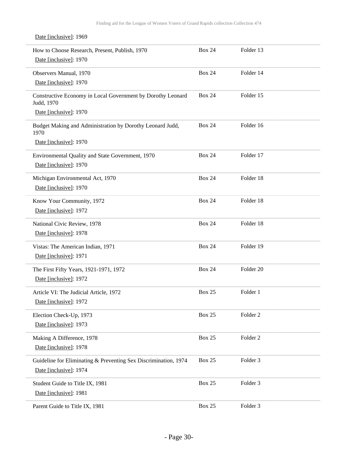| How to Choose Research, Present, Publish, 1970                            | <b>Box 24</b> | Folder 13           |
|---------------------------------------------------------------------------|---------------|---------------------|
| Date [inclusive]: 1970                                                    |               |                     |
| Observers Manual, 1970                                                    | <b>Box 24</b> | Folder 14           |
| Date [inclusive]: 1970                                                    |               |                     |
| Constructive Economy in Local Government by Dorothy Leonard<br>Judd, 1970 | <b>Box 24</b> | Folder 15           |
| Date [inclusive]: 1970                                                    |               |                     |
| Budget Making and Administration by Dorothy Leonard Judd,<br>1970         | <b>Box 24</b> | Folder 16           |
| Date [inclusive]: 1970                                                    |               |                     |
| Environmental Quality and State Government, 1970                          | <b>Box 24</b> | Folder 17           |
| Date [inclusive]: 1970                                                    |               |                     |
| Michigan Environmental Act, 1970                                          | <b>Box 24</b> | Folder 18           |
| Date [inclusive]: 1970                                                    |               |                     |
| Know Your Community, 1972                                                 | <b>Box 24</b> | Folder 18           |
| Date [inclusive]: 1972                                                    |               |                     |
| National Civic Review, 1978                                               | <b>Box 24</b> | Folder 18           |
| Date [inclusive]: 1978                                                    |               |                     |
| Vistas: The American Indian, 1971                                         | <b>Box 24</b> | Folder 19           |
| Date [inclusive]: 1971                                                    |               |                     |
| The First Fifty Years, 1921-1971, 1972                                    | <b>Box 24</b> | Folder 20           |
| Date [inclusive]: 1972                                                    |               |                     |
| Article VI: The Judicial Article, 1972                                    | <b>Box 25</b> | Folder 1            |
| Date [inclusive]: 1972                                                    |               |                     |
| Election Check-Up, 1973                                                   | <b>Box 25</b> | Folder <sub>2</sub> |
| Date [inclusive]: 1973                                                    |               |                     |
| Making A Difference, 1978                                                 | <b>Box 25</b> | Folder <sub>2</sub> |
| Date [inclusive]: 1978                                                    |               |                     |
| Guideline for Eliminating & Preventing Sex Discrimination, 1974           | <b>Box 25</b> | Folder 3            |
| Date [inclusive]: 1974                                                    |               |                     |
| Student Guide to Title IX, 1981                                           | <b>Box 25</b> | Folder 3            |
| Date [inclusive]: 1981                                                    |               |                     |
| Parent Guide to Title IX, 1981                                            | <b>Box 25</b> | Folder 3            |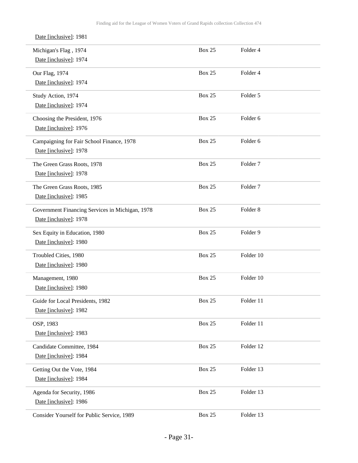| Date [inclusive]: 1981                          |               |                     |  |
|-------------------------------------------------|---------------|---------------------|--|
| Michigan's Flag, 1974                           | <b>Box 25</b> | Folder 4            |  |
| Date [inclusive]: 1974                          |               |                     |  |
| Our Flag, 1974                                  | <b>Box 25</b> | Folder 4            |  |
| Date [inclusive]: 1974                          |               |                     |  |
| Study Action, 1974                              | <b>Box 25</b> | Folder 5            |  |
| Date [inclusive]: 1974                          |               |                     |  |
| Choosing the President, 1976                    | <b>Box 25</b> | Folder <sub>6</sub> |  |
| Date [inclusive]: 1976                          |               |                     |  |
| Campaigning for Fair School Finance, 1978       | <b>Box 25</b> | Folder 6            |  |
| Date [inclusive]: 1978                          |               |                     |  |
| The Green Grass Roots, 1978                     | <b>Box 25</b> | Folder <sub>7</sub> |  |
| Date [inclusive]: 1978                          |               |                     |  |
| The Green Grass Roots, 1985                     | <b>Box 25</b> | Folder <sub>7</sub> |  |
| Date [inclusive]: 1985                          |               |                     |  |
| Government Financing Services in Michigan, 1978 | <b>Box 25</b> | Folder <sub>8</sub> |  |
| Date [inclusive]: 1978                          |               |                     |  |
| Sex Equity in Education, 1980                   | <b>Box 25</b> | Folder 9            |  |
| Date [inclusive]: 1980                          |               |                     |  |
| Troubled Cities, 1980                           | <b>Box 25</b> | Folder 10           |  |
| Date [inclusive]: 1980                          |               |                     |  |
| Management, 1980                                | <b>Box 25</b> | Folder 10           |  |
| Date [inclusive]: 1980                          |               |                     |  |
| Guide for Local Presidents, 1982                | <b>Box 25</b> | Folder 11           |  |
| Date [inclusive]: 1982                          |               |                     |  |
| OSP, 1983                                       | <b>Box 25</b> | Folder 11           |  |
| Date [inclusive]: 1983                          |               |                     |  |
| Candidate Committee, 1984                       | <b>Box 25</b> | Folder 12           |  |
| Date [inclusive]: 1984                          |               |                     |  |
| Getting Out the Vote, 1984                      | <b>Box 25</b> | Folder 13           |  |
| Date [inclusive]: 1984                          |               |                     |  |
| Agenda for Security, 1986                       | <b>Box 25</b> | Folder 13           |  |
| Date [inclusive]: 1986                          |               |                     |  |
| Consider Yourself for Public Service, 1989      | <b>Box 25</b> | Folder 13           |  |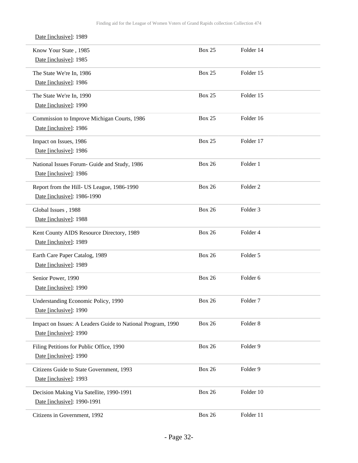| Know Your State, 1985<br>Date [inclusive]: 1985                                       | <b>Box 25</b> | Folder 14           |  |
|---------------------------------------------------------------------------------------|---------------|---------------------|--|
| The State We're In, 1986<br>Date [inclusive]: 1986                                    | <b>Box 25</b> | Folder 15           |  |
| The State We're In, 1990<br>Date [inclusive]: 1990                                    | <b>Box 25</b> | Folder 15           |  |
| Commission to Improve Michigan Courts, 1986<br>Date [inclusive]: 1986                 | <b>Box 25</b> | Folder 16           |  |
| Impact on Issues, 1986<br>Date [inclusive]: 1986                                      | <b>Box 25</b> | Folder 17           |  |
| National Issues Forum- Guide and Study, 1986<br>Date [inclusive]: 1986                | <b>Box 26</b> | Folder 1            |  |
| Report from the Hill- US League, 1986-1990<br>Date [inclusive]: 1986-1990             | <b>Box 26</b> | Folder <sub>2</sub> |  |
| Global Issues, 1988<br>Date [inclusive]: 1988                                         | <b>Box 26</b> | Folder <sub>3</sub> |  |
| Kent County AIDS Resource Directory, 1989<br>Date [inclusive]: 1989                   | <b>Box 26</b> | Folder 4            |  |
| Earth Care Paper Catalog, 1989<br>Date [inclusive]: 1989                              | <b>Box 26</b> | Folder 5            |  |
| Senior Power, 1990<br>Date [inclusive]: 1990                                          | <b>Box 26</b> | Folder 6            |  |
| Understanding Economic Policy, 1990<br>Date [inclusive]: 1990                         | <b>Box 26</b> | Folder <sub>7</sub> |  |
| Impact on Issues: A Leaders Guide to National Program, 1990<br>Date [inclusive]: 1990 | <b>Box 26</b> | Folder <sub>8</sub> |  |
| Filing Petitions for Public Office, 1990<br>Date [inclusive]: 1990                    | <b>Box 26</b> | Folder 9            |  |
| Citizens Guide to State Government, 1993<br>Date [inclusive]: 1993                    | <b>Box 26</b> | Folder 9            |  |
| Decision Making Via Satellite, 1990-1991<br>Date [inclusive]: 1990-1991               | <b>Box 26</b> | Folder 10           |  |
| Citizens in Government, 1992                                                          | <b>Box 26</b> | Folder 11           |  |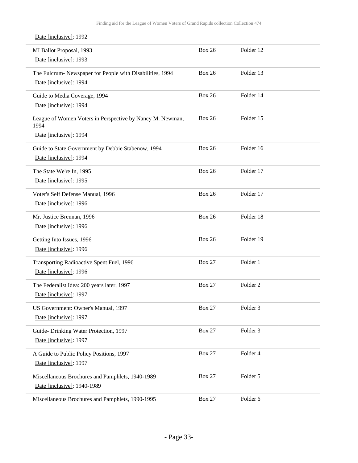| MI Ballot Proposal, 1993<br>Date [inclusive]: 1993                                  | <b>Box 26</b> | Folder 12           |
|-------------------------------------------------------------------------------------|---------------|---------------------|
| The Fulcrum- Newspaper for People with Disabilities, 1994<br>Date [inclusive]: 1994 | <b>Box 26</b> | Folder 13           |
| Guide to Media Coverage, 1994<br>Date [inclusive]: 1994                             | <b>Box 26</b> | Folder 14           |
| League of Women Voters in Perspective by Nancy M. Newman,<br>1994                   | <b>Box 26</b> | Folder 15           |
| Date [inclusive]: 1994                                                              |               |                     |
| Guide to State Government by Debbie Stabenow, 1994<br>Date [inclusive]: 1994        | <b>Box 26</b> | Folder 16           |
| The State We're In, 1995<br>Date [inclusive]: 1995                                  | <b>Box 26</b> | Folder 17           |
| Voter's Self Defense Manual, 1996<br>Date [inclusive]: 1996                         | <b>Box 26</b> | Folder 17           |
| Mr. Justice Brennan, 1996<br>Date [inclusive]: 1996                                 | <b>Box 26</b> | Folder 18           |
| Getting Into Issues, 1996<br>Date [inclusive]: 1996                                 | <b>Box 26</b> | Folder 19           |
| Transporting Radioactive Spent Fuel, 1996<br>Date [inclusive]: 1996                 | <b>Box 27</b> | Folder 1            |
| The Federalist Idea: 200 years later, 1997<br>Date [inclusive]: 1997                | <b>Box 27</b> | Folder <sub>2</sub> |
| US Government: Owner's Manual, 1997<br>Date [inclusive]: 1997                       | <b>Box 27</b> | Folder 3            |
| Guide-Drinking Water Protection, 1997<br>Date [inclusive]: 1997                     | <b>Box 27</b> | Folder 3            |
| A Guide to Public Policy Positions, 1997<br>Date [inclusive]: 1997                  | <b>Box 27</b> | Folder 4            |
| Miscellaneous Brochures and Pamphlets, 1940-1989<br>Date [inclusive]: 1940-1989     | <b>Box 27</b> | Folder 5            |
| Miscellaneous Brochures and Pamphlets, 1990-1995                                    | <b>Box 27</b> | Folder 6            |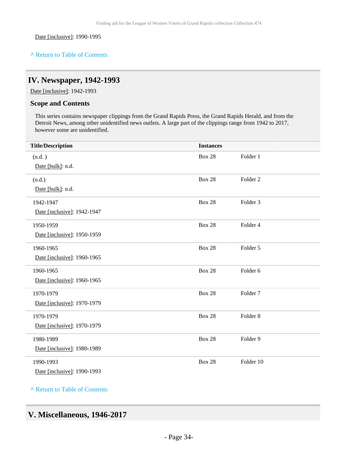Date [inclusive]: 1990-1995

## **^** [Return to Table of Contents](#page-1-0)

## <span id="page-33-0"></span>**IV. Newspaper, 1942-1993**

Date [inclusive]: 1942-1993

### **Scope and Contents**

This series contains newspaper clippings from the Grand Rapids Press, the Grand Rapids Herald, and from the Detroit News, among other unidentified news outlets. A large part of the clippings range from 1942 to 2017, however some are unidentified.

| <b>Title/Description</b>    | <b>Instances</b> |                     |
|-----------------------------|------------------|---------------------|
| (n.d. )                     | <b>Box 28</b>    | Folder 1            |
| Date [bulk]: n.d.           |                  |                     |
| (n.d.)                      | <b>Box 28</b>    | Folder <sub>2</sub> |
| Date [bulk]: n.d.           |                  |                     |
| 1942-1947                   | <b>Box 28</b>    | Folder 3            |
| Date [inclusive]: 1942-1947 |                  |                     |
| 1950-1959                   | <b>Box 28</b>    | Folder 4            |
| Date [inclusive]: 1950-1959 |                  |                     |
| 1960-1965                   | <b>Box 28</b>    | Folder 5            |
| Date [inclusive]: 1960-1965 |                  |                     |
| 1960-1965                   | <b>Box 28</b>    | Folder 6            |
| Date [inclusive]: 1960-1965 |                  |                     |
| 1970-1979                   | <b>Box 28</b>    | Folder <sub>7</sub> |
| Date [inclusive]: 1970-1979 |                  |                     |
| 1970-1979                   | <b>Box 28</b>    | Folder <sub>8</sub> |
| Date [inclusive]: 1970-1979 |                  |                     |
| 1980-1989                   | <b>Box 28</b>    | Folder 9            |
| Date [inclusive]: 1980-1989 |                  |                     |
| 1990-1993                   | <b>Box 28</b>    | Folder 10           |
| Date [inclusive]: 1990-1993 |                  |                     |

**^** [Return to Table of Contents](#page-1-0)

## <span id="page-33-1"></span>**V. Miscellaneous, 1946-2017**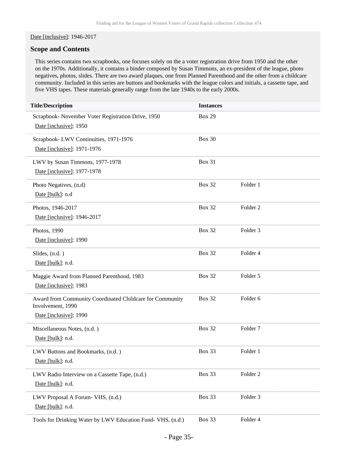#### Date [inclusive]: 1946-2017

#### **Scope and Contents**

This series contains two scrapbooks, one focuses solely on the a voter registration drive from 1950 and the other on the 1970s. Additionally, it contains a binder composed by Susan Timmons, an ex-president of the league, photo negatives, photos, slides. There are two award plaques, one from Planned Parenthood and the other from a childcare community. Included in this series are buttons and bookmarks with the league colors and initials, a cassette tape, and five VHS tapes. These materials generally range from the late 1940s to the early 2000s.

| <b>Title/Description</b>                                                                                | <b>Instances</b> |                     |
|---------------------------------------------------------------------------------------------------------|------------------|---------------------|
| Scrapbook- November Voter Registration Drive, 1950<br>Date [inclusive]: 1950                            | <b>Box 29</b>    |                     |
| Scrapbook-LWV Continuities, 1971-1976<br>Date [inclusive]: 1971-1976                                    | <b>Box 30</b>    |                     |
| LWV by Susan Timmons, 1977-1978<br>Date [inclusive]: 1977-1978                                          | Box 31           |                     |
| Photo Negatives, (n.d)<br>Date [bulk]: n.d                                                              | <b>Box 32</b>    | Folder 1            |
| Photos, 1946-2017<br>Date [inclusive]: 1946-2017                                                        | <b>Box 32</b>    | Folder <sub>2</sub> |
| Photos, 1990<br>Date [inclusive]: 1990                                                                  | <b>Box 32</b>    | Folder <sub>3</sub> |
| Slides, (n.d.)<br>Date [bulk]: n.d.                                                                     | <b>Box 32</b>    | Folder 4            |
| Maggie Award from Planned Parenthood, 1983<br>Date [inclusive]: 1983                                    | <b>Box 32</b>    | Folder 5            |
| Award from Community Coordinated Childcare for Community<br>Involvement, 1990<br>Date [inclusive]: 1990 | <b>Box 32</b>    | Folder <sub>6</sub> |
| Miscellaneous Notes, (n.d.)<br>Date [bulk]: n.d.                                                        | <b>Box 32</b>    | Folder <sub>7</sub> |
| LWV Buttons and Bookmarks, (n.d.)<br>Date [bulk]: n.d.                                                  | Box 33           | Folder 1            |
| LWV Radio Interview on a Cassette Tape, (n.d.)<br>Date [bulk]: n.d.                                     | Box 33           | Folder <sub>2</sub> |
| LWV Proposal A Forum- VHS, (n.d.)<br>Date [bulk]: n.d.                                                  | Box 33           | Folder 3            |
| Tools for Drinking Water by LWV Education Fund- VHS, (n.d.)                                             | Box 33           | Folder 4            |